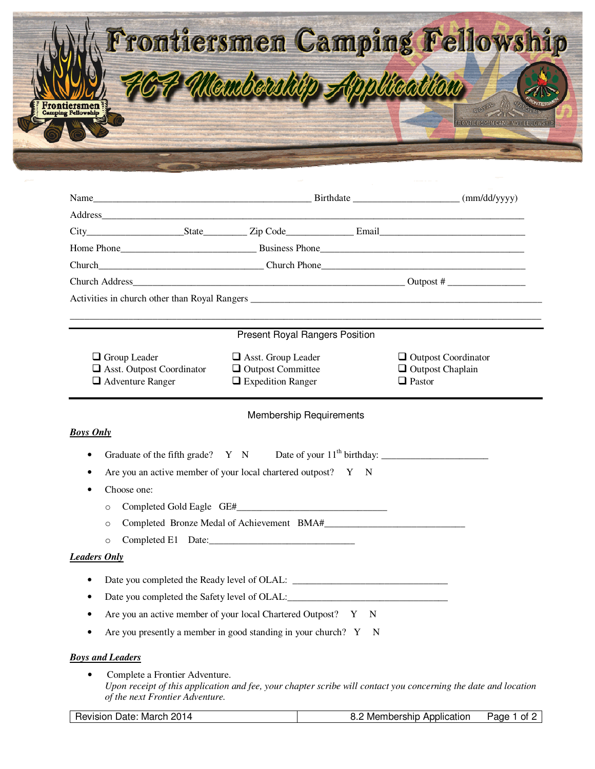

|                                                                                | Present Royal Rangers Position                                                    |                                                                                                                 |  |
|--------------------------------------------------------------------------------|-----------------------------------------------------------------------------------|-----------------------------------------------------------------------------------------------------------------|--|
| $\Box$ Group Leader<br>Asst. Outpost Coordinator<br>$\Box$ Adventure Ranger    | $\Box$ Asst. Group Leader<br>$\Box$ Outpost Committee<br>$\Box$ Expedition Ranger | $\Box$ Outpost Coordinator<br>$\Box$ Outpost Chaplain<br>$\Box$ Pastor                                          |  |
|                                                                                | <b>Membership Requirements</b>                                                    |                                                                                                                 |  |
| <b>Boys Only</b>                                                               |                                                                                   |                                                                                                                 |  |
| ٠                                                                              |                                                                                   |                                                                                                                 |  |
| ٠                                                                              | Are you an active member of your local chartered outpost? Y N                     |                                                                                                                 |  |
| Choose one:<br>٠                                                               |                                                                                   |                                                                                                                 |  |
| $\circ$                                                                        |                                                                                   |                                                                                                                 |  |
| $\circ$                                                                        |                                                                                   |                                                                                                                 |  |
| $\circ$                                                                        | Completed E1 Date:                                                                |                                                                                                                 |  |
| <b>Leaders Only</b>                                                            |                                                                                   |                                                                                                                 |  |
| ٠                                                                              |                                                                                   |                                                                                                                 |  |
| ٠                                                                              |                                                                                   |                                                                                                                 |  |
| ٠                                                                              | Are you an active member of your local Chartered Outpost? Y N                     |                                                                                                                 |  |
|                                                                                | Are you presently a member in good standing in your church? Y N                   |                                                                                                                 |  |
|                                                                                |                                                                                   |                                                                                                                 |  |
| <b>Boys and Leaders</b>                                                        |                                                                                   |                                                                                                                 |  |
| Complete a Frontier Adventure.<br>$\bullet$<br>of the next Frontier Adventure. |                                                                                   | Upon receipt of this application and fee, your chapter scribe will contact you concerning the date and location |  |

| Revision Date: March 2014 | 8.2 Membership Application | Page 1<br>⊢of 2 |
|---------------------------|----------------------------|-----------------|
|---------------------------|----------------------------|-----------------|